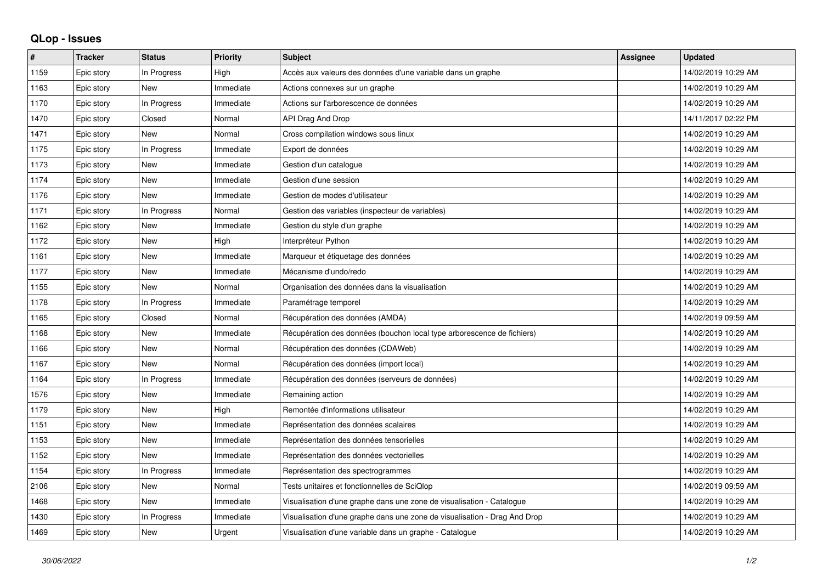## **QLop - Issues**

| ∦    | <b>Tracker</b> | <b>Status</b> | <b>Priority</b> | <b>Subject</b>                                                            | <b>Assignee</b> | <b>Updated</b>      |
|------|----------------|---------------|-----------------|---------------------------------------------------------------------------|-----------------|---------------------|
| 1159 | Epic story     | In Progress   | High            | Accès aux valeurs des données d'une variable dans un graphe               |                 | 14/02/2019 10:29 AM |
| 1163 | Epic story     | <b>New</b>    | Immediate       | Actions connexes sur un graphe                                            |                 | 14/02/2019 10:29 AM |
| 1170 | Epic story     | In Progress   | Immediate       | Actions sur l'arborescence de données                                     |                 | 14/02/2019 10:29 AM |
| 1470 | Epic story     | Closed        | Normal          | API Drag And Drop                                                         |                 | 14/11/2017 02:22 PM |
| 1471 | Epic story     | New           | Normal          | Cross compilation windows sous linux                                      |                 | 14/02/2019 10:29 AM |
| 1175 | Epic story     | In Progress   | Immediate       | Export de données                                                         |                 | 14/02/2019 10:29 AM |
| 1173 | Epic story     | New           | Immediate       | Gestion d'un catalogue                                                    |                 | 14/02/2019 10:29 AM |
| 1174 | Epic story     | <b>New</b>    | Immediate       | Gestion d'une session                                                     |                 | 14/02/2019 10:29 AM |
| 1176 | Epic story     | <b>New</b>    | Immediate       | Gestion de modes d'utilisateur                                            |                 | 14/02/2019 10:29 AM |
| 1171 | Epic story     | In Progress   | Normal          | Gestion des variables (inspecteur de variables)                           |                 | 14/02/2019 10:29 AM |
| 1162 | Epic story     | <b>New</b>    | Immediate       | Gestion du style d'un graphe                                              |                 | 14/02/2019 10:29 AM |
| 1172 | Epic story     | <b>New</b>    | High            | Interpréteur Python                                                       |                 | 14/02/2019 10:29 AM |
| 1161 | Epic story     | <b>New</b>    | Immediate       | Marqueur et étiquetage des données                                        |                 | 14/02/2019 10:29 AM |
| 1177 | Epic story     | <b>New</b>    | Immediate       | Mécanisme d'undo/redo                                                     |                 | 14/02/2019 10:29 AM |
| 1155 | Epic story     | New           | Normal          | Organisation des données dans la visualisation                            |                 | 14/02/2019 10:29 AM |
| 1178 | Epic story     | In Progress   | Immediate       | Paramétrage temporel                                                      |                 | 14/02/2019 10:29 AM |
| 1165 | Epic story     | Closed        | Normal          | Récupération des données (AMDA)                                           |                 | 14/02/2019 09:59 AM |
| 1168 | Epic story     | New           | Immediate       | Récupération des données (bouchon local type arborescence de fichiers)    |                 | 14/02/2019 10:29 AM |
| 1166 | Epic story     | <b>New</b>    | Normal          | Récupération des données (CDAWeb)                                         |                 | 14/02/2019 10:29 AM |
| 1167 | Epic story     | <b>New</b>    | Normal          | Récupération des données (import local)                                   |                 | 14/02/2019 10:29 AM |
| 1164 | Epic story     | In Progress   | Immediate       | Récupération des données (serveurs de données)                            |                 | 14/02/2019 10:29 AM |
| 1576 | Epic story     | <b>New</b>    | Immediate       | Remaining action                                                          |                 | 14/02/2019 10:29 AM |
| 1179 | Epic story     | <b>New</b>    | High            | Remontée d'informations utilisateur                                       |                 | 14/02/2019 10:29 AM |
| 1151 | Epic story     | New           | Immediate       | Représentation des données scalaires                                      |                 | 14/02/2019 10:29 AM |
| 1153 | Epic story     | <b>New</b>    | Immediate       | Représentation des données tensorielles                                   |                 | 14/02/2019 10:29 AM |
| 1152 | Epic story     | <b>New</b>    | Immediate       | Représentation des données vectorielles                                   |                 | 14/02/2019 10:29 AM |
| 1154 | Epic story     | In Progress   | Immediate       | Représentation des spectrogrammes                                         |                 | 14/02/2019 10:29 AM |
| 2106 | Epic story     | <b>New</b>    | Normal          | Tests unitaires et fonctionnelles de SciQlop                              |                 | 14/02/2019 09:59 AM |
| 1468 | Epic story     | <b>New</b>    | Immediate       | Visualisation d'une graphe dans une zone de visualisation - Catalogue     |                 | 14/02/2019 10:29 AM |
| 1430 | Epic story     | In Progress   | Immediate       | Visualisation d'une graphe dans une zone de visualisation - Drag And Drop |                 | 14/02/2019 10:29 AM |
| 1469 | Epic story     | New           | Urgent          | Visualisation d'une variable dans un graphe - Catalogue                   |                 | 14/02/2019 10:29 AM |